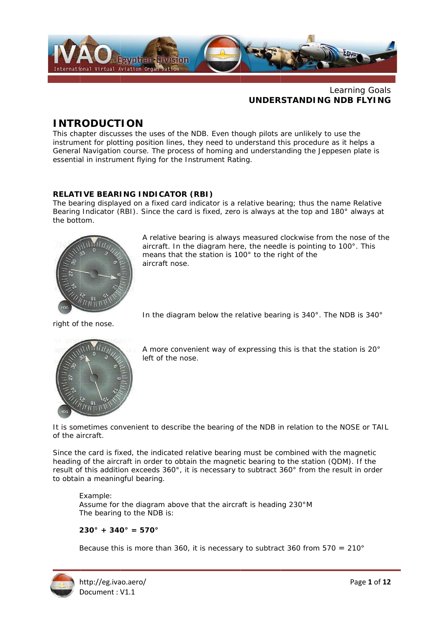

#### Learning Goals **UNDERSTANDING NDB FLYING**

# **INTRODUCTION**

This chapter discusses the uses of the NDB. Even though pilots are unlikely to use the instrument for plotting position lines, they need to understand this procedure as it helps a General Navigation course. The process of homing and understanding the Jeppesen plate is essential in instrument flying for the Instrument Rating.

## **RELATIVE BEARING INDICATOR (RBI)**

The bearing displayed on a fixed card indicator is a relative bearing: thus the name Relative Bearing Indicator (RBI). Since the card is fixed, zero is always at the top and 180° always at the bottom.



A relative bearing is always measured clockwise from the nose of the aircraft. In the diagram here, the needle is pointing to 100°. This means that the station is 100° to the right of the aircraft nose.

right of the nose.



A more convenient way of expressing this is that the station is 20° left of the nose.

In the diagram below the relative bearing is 340°. The NDB is 340°

It is sometimes convenient to describe the bearing of the NDB in relation to the NOSE or TAIL of the aircraft.

Since the card is fixed, the indicated relative bearing must be combined with the magnetic heading of the aircraft in order to obtain the magnetic bearing to the station (QDM). If the result of this addition exceeds 360°, it is necessary to subtract 360° from the result in order to obtain a meaningful bearing.

Example: Assume for the diagram above that the aircraft is heading 230°M The bearing to the NDB is:

## $230^{\circ} + 340^{\circ} = 570^{\circ}$

Because this is more than 360, it is necessary to subtract 360 from  $570 = 210^{\circ}$ 

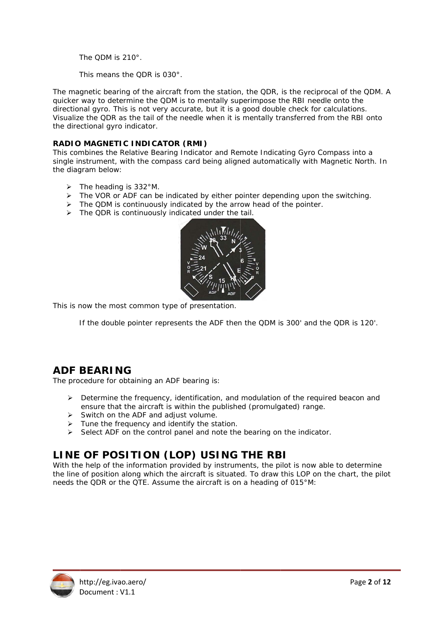The ODM is  $210^\circ$ 

This means the QDR is 030°.

The magnetic bearing of the aircraft from the station, the QDR, is the reciprocal of the QDM. A quicker way to determine the QDM is to mentally superimpose the RBI needle onto the directional gyro. This is not very accurate, but it is a good double check for calculations. Visualize the QDR as the tail of the needle when it is mentally transferred from the RBI onto the directional gyro indicator.

#### RADIO MAGNETIC INDICATOR (RMI)

This combines the Relative Bearing Indicator and Remote Indicating Gyro Compass into a single instrument, with the compass card being aligned automatically with Magnetic North. In the diagram below:

- $\triangleright$  The heading is 332°M.
- > The VOR or ADF can be indicated by either pointer depending upon the switching.
- > The QDM is continuously indicated by the arrow head of the pointer.<br>> The QDR is continuously indicated under the tail.
- 



This is now the most common type of presentation.

If the double pointer represents the ADF then the QDM is 300' and the QDR is 120'.

# **ADF BEARING**

The procedure for obtaining an ADF bearing is:

- $\triangleright$  Determine the frequency, identification, and modulation of the required beacon and ensure that the aircraft is within the published (promulgated) range.
- 
- Switch on the ADF and adjust volume.<br>> Tune the frequency and identify the station.
- $\triangleright$  Select ADF on the control panel and note the bearing on the indicator.

# LINE OF POSITION (LOP) USING THE RBI

With the help of the information provided by instruments, the pilot is now able to determine the line of position along which the aircraft is situated. To draw this LOP on the chart, the pilot needs the QDR or the QTE. Assume the aircraft is on a heading of 015°M:

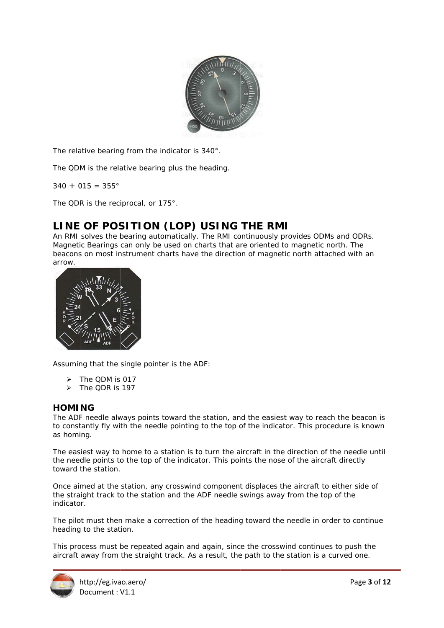

The relative bearing from the indicator is 340°.

The QDM is the relative bearing plus the heading.

 $340 + 015 = 355^{\circ}$ 

The QDR is the reciprocal, or 175°.

# LINE OF POSITION (LOP) USING THE RMI

An RMI solves the bearing automatically. The RMI continuously provides ODMs and ODRs. Magnetic Bearings can only be used on charts that are oriented to magnetic north. The Magnetic Bearings can only be used on charts that are oriented to magnetic north. The<br>beacons on most instrument charts have the direction of magnetic north attached with an arrow.



Assuming that the single pointer is the ADF:

- > The QDM is 017
- > The QDR is 197

#### **HOMI NG**

The ADF needle always points toward the station, and the easiest way to reach the beacon is to constantly fly with the needle pointing to the top of the indicator. This procedure is known as homing.

The easiest way to home to a station is to turn the aircraft in the direction of the needle until the needle points to the top of the indicator. This points the nose of the aircraft directly toward the station.

Once aimed at the station, any crosswind component displaces the aircraft to either side of the straight track to the station and the ADF needle swings away from the top of the indicator.

The pilot must then make a correction of the heading toward the needle in order to continue heading to the station.

This process must be repeated again and again, since the crosswind continues to push the aircraft away from the straight track. As a result, the path to the station is a curved one.

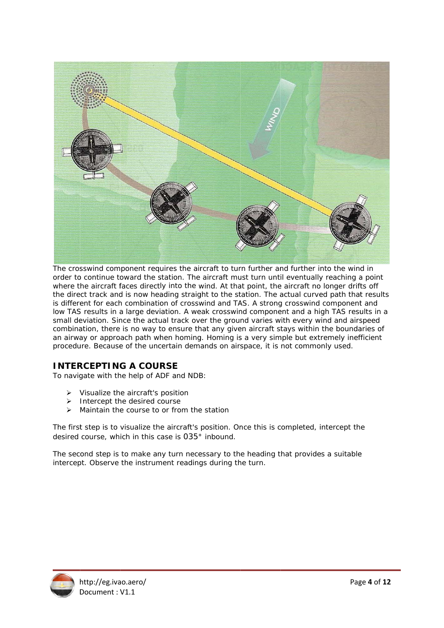

The crosswind component requires the aircraft to turn further and further into the wind in order to continue toward the station. The aircraft must turn until eventually reaching a point where the aircraft faces directly into the wind. At that point, the aircraft no longer drifts off the direct track and is now heading straight to the station. The actual curved path that results is different for each combination of crosswind and TAS. A strong crosswind component and low TAS results in a large deviation. A weak crosswind component and a high TAS results in a small deviation. Since the actual track over the ground varies with every wind and airspeed combination, there is no way to ensure that any given aircraft stays within the boundaries of an airway or approach path when homing. Homing is a very simple but extremely inefficient procedure. Because of the uncertain demands on airspace, it is not commonly used.

## **INTERCEPTING A COURSE**

To navigate with the help of ADF and NDB:

- ¾ V Visualize th e aircraft's position
- > Intercept the desired course
- > Maintain the course to or from the station

The first step is to visualize the aircraft's position. Once this is completed, intercept the desired course, which in this case is 035° inbound.

The second step is to make any turn necessary to the heading that provides a suitable intercept. Observe the instrument readings during the turn.

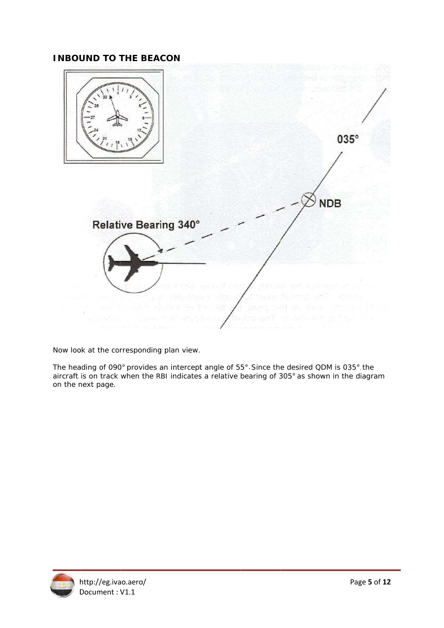## **INBOUND TO THE BEACON**



Now look at the corresponding plan view.

The heading of 090° provides an intercept angle of 55°. Since the desired QDM is 035° the aircraft is on track when the RBI indicates a relative bearing of 305° as shown in the diagram on the next page.

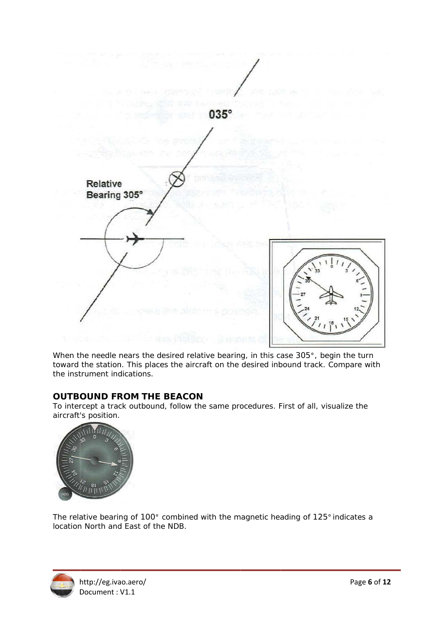

When the needle nears the desired relative bearing, in this case 305°, begin the turn toward the station. This places the aircraft on the desired inbound track. Compare with the instrument indications.

## **OUTBOUND FROM THE BEACON**

To intercept a track outbound, follow the same procedures. First of all, visualize the aircraft's position.



The relative bearing of 100° combined with the magnetic heading of 125° indicates a location North and East of the NDB.

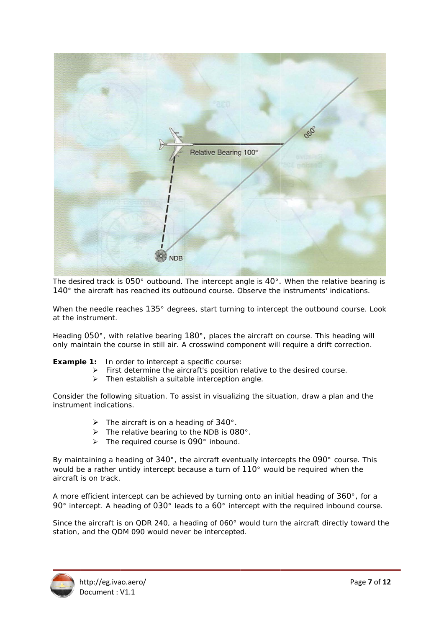

The desired track is  $050^\circ$  outbound. The intercept angle is  $40^\circ$ . When the relative bearing is 140° the aircraft has reached its outbound course. Observe the instruments' indications.

When the needle reaches 135° degrees, start turning to intercept the outbound course. Look at the instrument.

Heading 050°, with relative bearing 180°, places the aircraft on course. This heading will only maintain the course in still air. A crosswind component will require a drift correction.

**Example 1:** In order to intercept a specific course:

- > First determine the aircraft's position relative to the desired course.
- > Then establish a suitable interception angle.

Consider the following situation. To assist in visualizing the situation, draw a plan and the instrument indications.

- $\triangleright$  The aircraft is on a heading of 340°.
- $\triangleright$  The relative bearing to the NDB is 080°.
- > The required course is 090° inbound.

By maintaining a heading of  $340^{\circ}$ , the aircraft eventually intercepts the  $090^{\circ}$  course. This would be a rather untidy intercept because a turn of 110° would be required when the aircraft is on track. would be a rather untidy intercept because a turn of 110° would be required when the<br>aircraft is on track.<br>A more efficient intercept can be achieved by turning onto an initial heading of 360°, for a

90° intercept. A heading of 030° leads to a 60° intercept with the required inbound course.

Since the aircraft is on QDR 240, a heading of 060° would turn the aircraft directly toward the station, and the QDM 090 would never be intercepted.

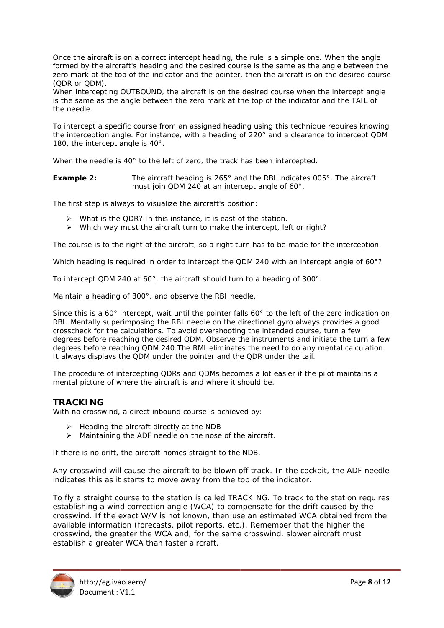Once the aircraft is on a correct intercept heading, the rule is a simple one. When the angle formed by the aircraft's heading and the desired course is the same as the angle between the zero mark at the top of the indicator and the pointer, then the aircraft is on the desired course (QDR or QDM).

When intercepting OUTBOUND, the aircraft is on the desired course when the intercept angle is the same as the angle between the zero mark at the top of the indicator and the TAIL of the needle.

To intercept a specific course from an assigned heading using this technique requires knowing the interception angle. For instance, with a heading of 220° and a clearance to intercept QDM 180, the intercept angle is  $40^\circ$ .

When the needle is 40° to the left of zero, the track has been intercepted.

The aircraft heading is 265° and the RBI indicates 005°. The aircraft Example 2: must join QDM 240 at an intercept angle of 60°.

The first step is always to visualize the aircraft's position:

- $\triangleright$  What is the QDR? In this instance, it is east of the station.
- > Which way must the aircraft turn to make the intercept, left or right?

The course is to the right of the aircraft, so a right turn has to be made for the interception.

Which heading is required in order to intercept the QDM 240 with an intercept angle of 60°?

To intercept QDM 240 at 60°, the aircraft should turn to a heading of 300°.

Maintain a heading of 300°, and observe the RBI needle.

Since this is a 60° intercept, wait until the pointer falls 60° to the left of the zero indication on RBI. Mentally superimposing the RBI needle on the directional gyro always provides a good crosscheck for the calculations. To avoid overshooting the intended course, turn a few degrees before reaching the desired QDM. Observe the instruments and initiate the turn a few degrees before reaching QDM 240. The RMI eliminates the need to do any mental calculation. It always displays the QDM under the pointer and the QDR under the tail.

The procedure of intercepting QDRs and QDMs becomes a lot easier if the pilot maintains a mental picture of where the aircraft is and where it should be.

## **TRACKING**

With no crosswind, a direct inbound course is achieved by:

- $\triangleright$  Heading the aircraft directly at the NDB
- > Maintaining the ADF needle on the nose of the aircraft.

If there is no drift, the aircraft homes straight to the NDB.

Any crosswind will cause the aircraft to be blown off track. In the cockpit, the ADF needle indicates this as it starts to move away from the top of the indicator.

To fly a straight course to the station is called TRACKING. To track to the station requires establishing a wind correction angle (WCA) to compensate for the drift caused by the crosswind. If the exact W/V is not known, then use an estimated WCA obtained from the available information (forecasts, pilot reports, etc.). Remember that the higher the crosswind, the greater the WCA and, for the same crosswind, slower aircraft must establish a greater WCA than faster aircraft.

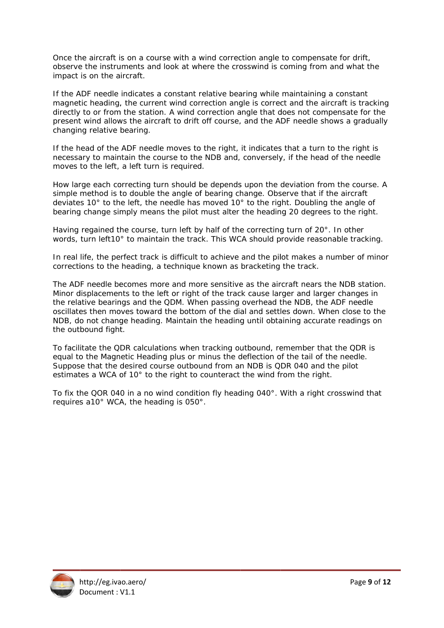Once the aircraft is on a course with a wind correction angle to compensate for drift, observe the instruments and look at where the crosswind is coming from and what the impact is on the a ircraft.

If the ADF needle indicates a constant relative bearing while maintaining a constant magnetic heading, the current wind correction angle is correct and the aircraft is tracking directly to or from the station. A wind correction angle that does not compensate for the present wind allows the aircraft to drift off course, and the ADF needle shows a gradually changin ng relative bearing.

If the head of the ADF needle moves to the right, it indicates that a turn to the right is necessary to maintain the course to the NDB and, conversely, if the head of the needle moves to the left, a left turn is required.

How large each correcting turn should be depends upon the deviation from the course. A simple method is to double the angle of bearing change. Observe that if the aircraft deviates  $10^{\circ}$  to the left, the needle has moved  $10^{\circ}$  to the right. Doubling the angle of bearing change simply means the pilot must alter the heading 20 degrees to the right.

Having regained the course, turn left by half of the correcting turn of 20°. In other words, turn left10° to maintain the track. This WCA should provide reasonable tracking.

In real life, the perfect track is difficult to achieve and the pilot makes a number of minor corrections to the heading, a technique known as bracketing the track.

The ADF needle becomes more and more sensitive as the aircraft nears the NDB station. Minor displacements to the left or right of the track cause larger and larger changes in the relative bearings and the QDM. When passing overhead the NDB, the ADF needle oscillates then moves toward the bottom of the dial and settles down. When close to the NDB, do not change heading. Maintain the heading until obtaining accurate readings on the outbound fight.

To facilitate the QDR calculations when tracking outbound, remember that the QDR is equal to the Magnetic Heading plus or minus the deflection of the tail of the needle. Suppose that the desired course outbound from an NDB is QDR 040 and the pilot estimates a WCA of 10° to the right to counteract the wind from the right.

To fix the QOR 040 in a no wind condition fly heading 040°. With a right crosswind that requires a10° WCA, the heading is 050°.

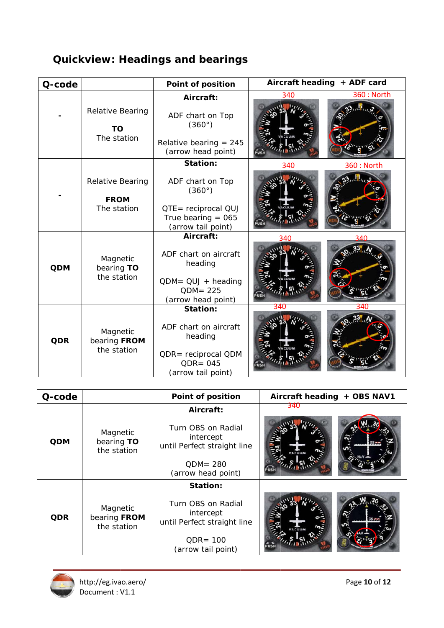# **Quickview: Headings and bearings**

| Q-code     |                                         | <b>Point of position</b>                                                                                        | Aircraft heading + ADF card |                   |
|------------|-----------------------------------------|-----------------------------------------------------------------------------------------------------------------|-----------------------------|-------------------|
|            |                                         | Aircraft:                                                                                                       | 340                         | <b>360: North</b> |
|            | Relative Bearing<br>ТO<br>The station   | ADF chart on Top<br>$(360^\circ)$<br>Relative bearing $= 245$<br>(arrow head point)                             |                             |                   |
|            |                                         | <b>Station:</b>                                                                                                 | 340                         | <b>360: North</b> |
|            | Relative Bearing<br><b>FROM</b>         | ADF chart on Top<br>$(360^\circ)$                                                                               |                             |                   |
|            | The station                             | QTE= reciprocal QUJ<br>True bearing $= 065$<br>(arrow tail point)                                               |                             |                   |
| <b>QDM</b> | Magnetic<br>bearing TO<br>the station   | Aircraft:<br>ADF chart on aircraft<br>heading<br>$QDM = QUJ + heading$<br>$QDM = 225$<br>(arrow head point)     | 340                         | 21N               |
| <b>QDR</b> | Magnetic<br>bearing FROM<br>the station | <b>Station:</b><br>ADF chart on aircraft<br>heading<br>QDR= reciprocal QDM<br>$QDR = 045$<br>(arrow tail point) | 340                         | 34L               |

| Q-code     |                                         | Point of position                                                                                                | + OBS NAV1<br><b>Aircraft heading</b> |  |
|------------|-----------------------------------------|------------------------------------------------------------------------------------------------------------------|---------------------------------------|--|
| <b>QDM</b> | Magnetic<br>bearing TO<br>the station   | Aircraft:<br>Turn OBS on Radial<br>intercept<br>until Perfect straight line<br>$ODM = 280$<br>(arrow head point) | 340                                   |  |
| <b>QDR</b> | Magnetic<br>bearing FROM<br>the station | Station:<br>Turn OBS on Radial<br>intercept<br>until Perfect straight line<br>$ODE = 100$<br>(arrow tail point)  |                                       |  |

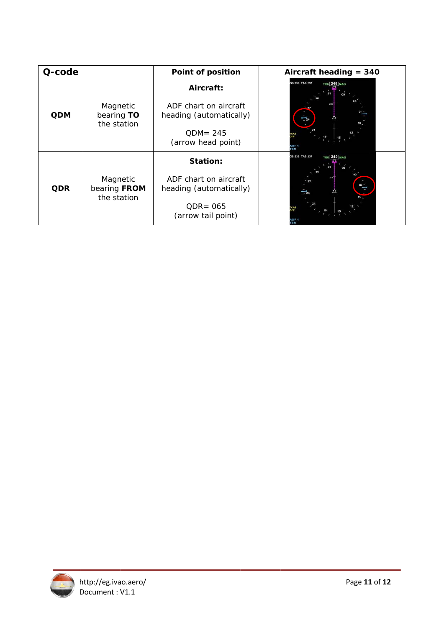| Q-code     |                                         | <b>Point of position</b>                         | Aircraft heading $= 340$             |
|------------|-----------------------------------------|--------------------------------------------------|--------------------------------------|
| <b>QDM</b> | Magnetic<br>bearing TO<br>the station   | Aircraft:                                        | <b>TRK 340 MAG</b><br>GS 238 TAS 237 |
|            |                                         | ADF chart on aircraft<br>heading (automatically) |                                      |
|            |                                         | $ODM = 245$<br>(arrow head point)                |                                      |
| <b>QDR</b> | Magnetic<br>bearing FROM<br>the station | Station:                                         | GS 238 TAS 237<br>TRK 340 MAG        |
|            |                                         | ADF chart on aircraft<br>heading (automatically) |                                      |
|            |                                         | $QDR = 065$<br>(arrow tail point)                | <b>TSR</b>                           |